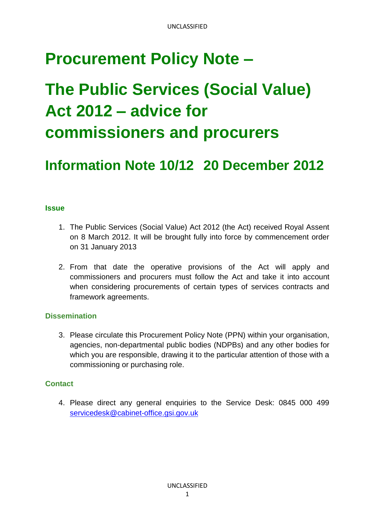# **Procurement Policy Note –**

# **The Public Services (Social Value) Act 2012 – advice for commissioners and procurers**

# **Information Note 10/12 20 December 2012**

# **Issue**

- 1. The Public Services (Social Value) Act 2012 (the Act) received Royal Assent on 8 March 2012. It will be brought fully into force by commencement order on 31 January 2013
- 2. From that date the operative provisions of the Act will apply and commissioners and procurers must follow the Act and take it into account when considering procurements of certain types of services contracts and framework agreements.

#### **Dissemination**

3. Please circulate this Procurement Policy Note (PPN) within your organisation, agencies, non-departmental public bodies (NDPBs) and any other bodies for which you are responsible, drawing it to the particular attention of those with a commissioning or purchasing role.

# **Contact**

4. Please direct any general enquiries to the Service Desk: 0845 000 499 [servicedesk@cabinet-office.gsi.gov.uk](mailto:servicedesk@cabinet-office.gsi.gov.uk)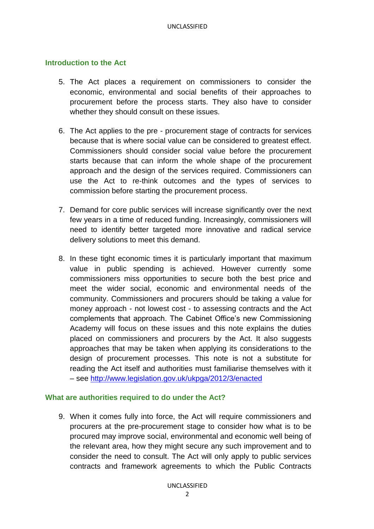#### **Introduction to the Act**

- 5. The Act places a requirement on commissioners to consider the economic, environmental and social benefits of their approaches to procurement before the process starts. They also have to consider whether they should consult on these issues.
- 6. The Act applies to the pre procurement stage of contracts for services because that is where social value can be considered to greatest effect. Commissioners should consider social value before the procurement starts because that can inform the whole shape of the procurement approach and the design of the services required. Commissioners can use the Act to re-think outcomes and the types of services to commission before starting the procurement process.
- 7. Demand for core public services will increase significantly over the next few years in a time of reduced funding. Increasingly, commissioners will need to identify better targeted more innovative and radical service delivery solutions to meet this demand.
- 8. In these tight economic times it is particularly important that maximum value in public spending is achieved. However currently some commissioners miss opportunities to secure both the best price and meet the wider social, economic and environmental needs of the community. Commissioners and procurers should be taking a value for money approach - not lowest cost - to assessing contracts and the Act complements that approach. The Cabinet Office's new Commissioning Academy will focus on these issues and this note explains the duties placed on commissioners and procurers by the Act. It also suggests approaches that may be taken when applying its considerations to the design of procurement processes. This note is not a substitute for reading the Act itself and authorities must familiarise themselves with it – see<http://www.legislation.gov.uk/ukpga/2012/3/enacted>

#### **What are authorities required to do under the Act?**

9. When it comes fully into force, the Act will require commissioners and procurers at the pre-procurement stage to consider how what is to be procured may improve social, environmental and economic well being of the relevant area, how they might secure any such improvement and to consider the need to consult. The Act will only apply to public services contracts and framework agreements to which the Public Contracts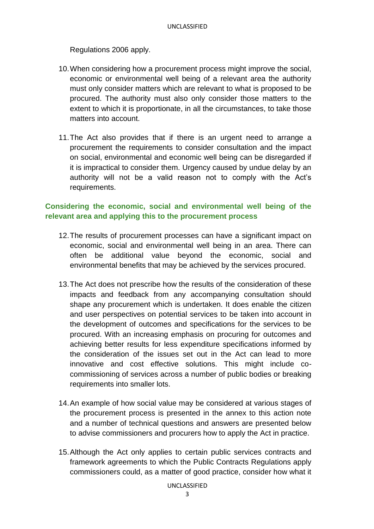Regulations 2006 apply.

- 10.When considering how a procurement process might improve the social, economic or environmental well being of a relevant area the authority must only consider matters which are relevant to what is proposed to be procured. The authority must also only consider those matters to the extent to which it is proportionate, in all the circumstances, to take those matters into account.
- 11.The Act also provides that if there is an urgent need to arrange a procurement the requirements to consider consultation and the impact on social, environmental and economic well being can be disregarded if it is impractical to consider them. Urgency caused by undue delay by an authority will not be a valid reason not to comply with the Act's requirements.

# **Considering the economic, social and environmental well being of the relevant area and applying this to the procurement process**

- 12.The results of procurement processes can have a significant impact on economic, social and environmental well being in an area. There can often be additional value beyond the economic, social and environmental benefits that may be achieved by the services procured.
- 13.The Act does not prescribe how the results of the consideration of these impacts and feedback from any accompanying consultation should shape any procurement which is undertaken. It does enable the citizen and user perspectives on potential services to be taken into account in the development of outcomes and specifications for the services to be procured. With an increasing emphasis on procuring for outcomes and achieving better results for less expenditure specifications informed by the consideration of the issues set out in the Act can lead to more innovative and cost effective solutions. This might include cocommissioning of services across a number of public bodies or breaking requirements into smaller lots.
- 14.An example of how social value may be considered at various stages of the procurement process is presented in the annex to this action note and a number of technical questions and answers are presented below to advise commissioners and procurers how to apply the Act in practice.
- 15.Although the Act only applies to certain public services contracts and framework agreements to which the Public Contracts Regulations apply commissioners could, as a matter of good practice, consider how what it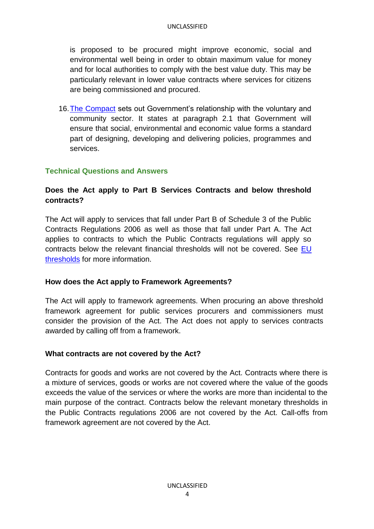is proposed to be procured might improve economic, social and environmental well being in order to obtain maximum value for money and for local authorities to comply with the best value duty. This may be particularly relevant in lower value contracts where services for citizens are being commissioned and procured.

16[.The Compact](http://www.cabinetoffice.gov.uk/sites/default/files/resources/The%20Compact.pdf) sets out Government's relationship with the voluntary and community sector. It states at paragraph 2.1 that Government will ensure that social, environmental and economic value forms a standard part of designing, developing and delivering policies, programmes and services.

#### **Technical Questions and Answers**

#### **Does the Act apply to Part B Services Contracts and below threshold contracts?**

The Act will apply to services that fall under Part B of Schedule 3 of the Public Contracts Regulations 2006 as well as those that fall under Part A. The Act applies to contracts to which the Public Contracts regulations will apply so contracts below the relevant financial thresholds will not be covered. See [EU](http://www.cabinetoffice.gov.uk/sites/default/files/resources/10%2011%20Threshold%20Rates%20for%202012%20and%20AR%20Procedure%20Update.pdf)  [thresholds](http://www.cabinetoffice.gov.uk/sites/default/files/resources/10%2011%20Threshold%20Rates%20for%202012%20and%20AR%20Procedure%20Update.pdf) for more information.

#### **How does the Act apply to Framework Agreements?**

The Act will apply to framework agreements. When procuring an above threshold framework agreement for public services procurers and commissioners must consider the provision of the Act. The Act does not apply to services contracts awarded by calling off from a framework.

#### **What contracts are not covered by the Act?**

Contracts for goods and works are not covered by the Act. Contracts where there is a mixture of services, goods or works are not covered where the value of the goods exceeds the value of the services or where the works are more than incidental to the main purpose of the contract. Contracts below the relevant monetary thresholds in the Public Contracts regulations 2006 are not covered by the Act. Call-offs from framework agreement are not covered by the Act.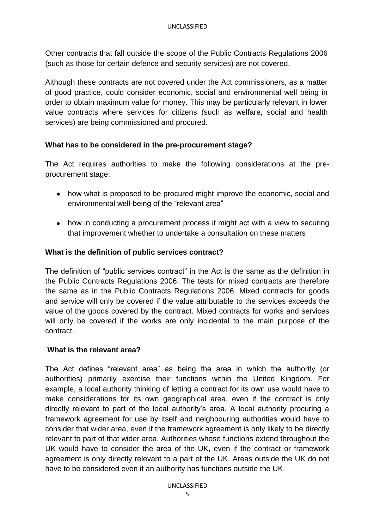Other contracts that fall outside the scope of the Public Contracts Regulations 2006 (such as those for certain defence and security services) are not covered.

Although these contracts are not covered under the Act commissioners, as a matter of good practice, could consider economic, social and environmental well being in order to obtain maximum value for money. This may be particularly relevant in lower value contracts where services for citizens (such as welfare, social and health services) are being commissioned and procured.

# **What has to be considered in the pre-procurement stage?**

The Act requires authorities to make the following considerations at the preprocurement stage:

- how what is proposed to be procured might improve the economic, social and environmental well-being of the "relevant area"
- how in conducting a procurement process it might act with a view to securing that improvement whether to undertake a consultation on these matters

#### **What is the definition of public services contract?**

The definition of "public services contract" in the Act is the same as the definition in the Public Contracts Regulations 2006. The tests for mixed contracts are therefore the same as in the Public Contracts Regulations 2006. Mixed contracts for goods and service will only be covered if the value attributable to the services exceeds the value of the goods covered by the contract. Mixed contracts for works and services will only be covered if the works are only incidental to the main purpose of the contract.

#### **What is the relevant area?**

The Act defines "relevant area" as being the area in which the authority (or authorities) primarily exercise their functions within the United Kingdom. For example, a local authority thinking of letting a contract for its own use would have to make considerations for its own geographical area, even if the contract is only directly relevant to part of the local authority's area. A local authority procuring a framework agreement for use by itself and neighbouring authorities would have to consider that wider area, even if the framework agreement is only likely to be directly relevant to part of that wider area. Authorities whose functions extend throughout the UK would have to consider the area of the UK, even if the contract or framework agreement is only directly relevant to a part of the UK. Areas outside the UK do not have to be considered even if an authority has functions outside the UK.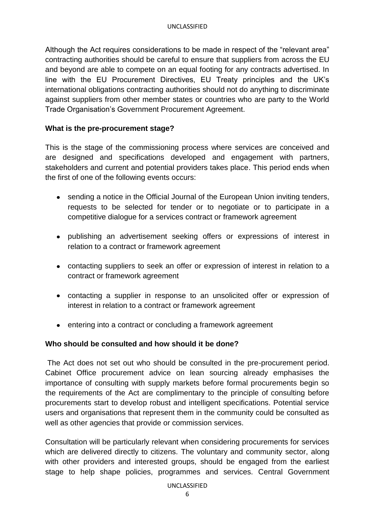Although the Act requires considerations to be made in respect of the "relevant area" contracting authorities should be careful to ensure that suppliers from across the EU and beyond are able to compete on an equal footing for any contracts advertised. In line with the EU Procurement Directives, EU Treaty principles and the UK's international obligations contracting authorities should not do anything to discriminate against suppliers from other member states or countries who are party to the World Trade Organisation's Government Procurement Agreement.

#### **What is the pre-procurement stage?**

This is the stage of the commissioning process where services are conceived and are designed and specifications developed and engagement with partners, stakeholders and current and potential providers takes place. This period ends when the first of one of the following events occurs:

- sending a notice in the Official Journal of the European Union inviting tenders, requests to be selected for tender or to negotiate or to participate in a competitive dialogue for a services contract or framework agreement
- publishing an advertisement seeking offers or expressions of interest in relation to a contract or framework agreement
- contacting suppliers to seek an offer or expression of interest in relation to a contract or framework agreement
- contacting a supplier in response to an unsolicited offer or expression of interest in relation to a contract or framework agreement
- entering into a contract or concluding a framework agreement

#### **Who should be consulted and how should it be done?**

The Act does not set out who should be consulted in the pre-procurement period. Cabinet Office procurement advice on lean sourcing already emphasises the importance of consulting with supply markets before formal procurements begin so the requirements of the Act are complimentary to the principle of consulting before procurements start to develop robust and intelligent specifications. Potential service users and organisations that represent them in the community could be consulted as well as other agencies that provide or commission services.

Consultation will be particularly relevant when considering procurements for services which are delivered directly to citizens. The voluntary and community sector, along with other providers and interested groups, should be engaged from the earliest stage to help shape policies, programmes and services. Central Government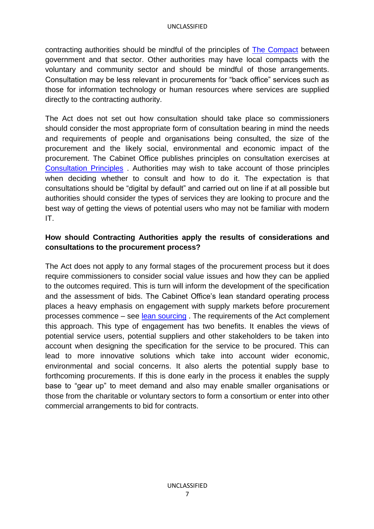contracting authorities should be mindful of the principles of [The Compact](http://www.cabinetoffice.gov.uk/sites/default/files/resources/The%20Compact.pdf) between government and that sector. Other authorities may have local compacts with the voluntary and community sector and should be mindful of those arrangements. Consultation may be less relevant in procurements for "back office" services such as those for information technology or human resources where services are supplied directly to the contracting authority.

The Act does not set out how consultation should take place so commissioners should consider the most appropriate form of consultation bearing in mind the needs and requirements of people and organisations being consulted, the size of the procurement and the likely social, environmental and economic impact of the procurement. The Cabinet Office publishes principles on consultation exercises at [Consultation Principles](http://www.cabinetoffice.gov.uk/sites/default/files/resources/Consultation-Principles.pdf) . Authorities may wish to take account of those principles when deciding whether to consult and how to do it. The expectation is that consultations should be "digital by default" and carried out on line if at all possible but authorities should consider the types of services they are looking to procure and the best way of getting the views of potential users who may not be familiar with modern IT.

#### **How should Contracting Authorities apply the results of considerations and consultations to the procurement process?**

The Act does not apply to any formal stages of the procurement process but it does require commissioners to consider social value issues and how they can be applied to the outcomes required. This is turn will inform the development of the specification and the assessment of bids. The Cabinet Office's lean standard operating process places a heavy emphasis on engagement with supply markets before procurement processes commence – see [lean sourcing](http://gps.cabinetoffice.gov.uk/about-government-procurement-service/lean-capability/lean-sourcing/lean-sourcing-standard-solution) . The requirements of the Act complement this approach. This type of engagement has two benefits. It enables the views of potential service users, potential suppliers and other stakeholders to be taken into account when designing the specification for the service to be procured. This can lead to more innovative solutions which take into account wider economic, environmental and social concerns. It also alerts the potential supply base to forthcoming procurements. If this is done early in the process it enables the supply base to "gear up" to meet demand and also may enable smaller organisations or those from the charitable or voluntary sectors to form a consortium or enter into other commercial arrangements to bid for contracts.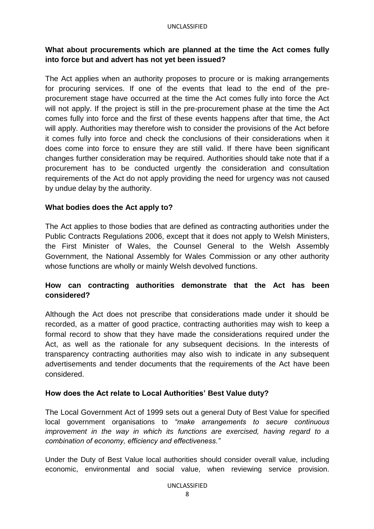# **What about procurements which are planned at the time the Act comes fully into force but and advert has not yet been issued?**

The Act applies when an authority proposes to procure or is making arrangements for procuring services. If one of the events that lead to the end of the preprocurement stage have occurred at the time the Act comes fully into force the Act will not apply. If the project is still in the pre-procurement phase at the time the Act comes fully into force and the first of these events happens after that time, the Act will apply. Authorities may therefore wish to consider the provisions of the Act before it comes fully into force and check the conclusions of their considerations when it does come into force to ensure they are still valid. If there have been significant changes further consideration may be required. Authorities should take note that if a procurement has to be conducted urgently the consideration and consultation requirements of the Act do not apply providing the need for urgency was not caused by undue delay by the authority.

#### **What bodies does the Act apply to?**

The Act applies to those bodies that are defined as contracting authorities under the Public Contracts Regulations 2006, except that it does not apply to Welsh Ministers, the First Minister of Wales, the Counsel General to the Welsh Assembly Government, the National Assembly for Wales Commission or any other authority whose functions are wholly or mainly Welsh devolved functions.

# **How can contracting authorities demonstrate that the Act has been considered?**

Although the Act does not prescribe that considerations made under it should be recorded, as a matter of good practice, contracting authorities may wish to keep a formal record to show that they have made the considerations required under the Act, as well as the rationale for any subsequent decisions. In the interests of transparency contracting authorities may also wish to indicate in any subsequent advertisements and tender documents that the requirements of the Act have been considered.

#### **How does the Act relate to Local Authorities' Best Value duty?**

The Local Government Act of 1999 sets out a general Duty of Best Value for specified local government organisations to *"make arrangements to secure continuous improvement in the way in which its functions are exercised, having regard to a combination of economy, efficiency and effectiveness."*

Under the Duty of Best Value local authorities should consider overall value, including economic, environmental and social value, when reviewing service provision.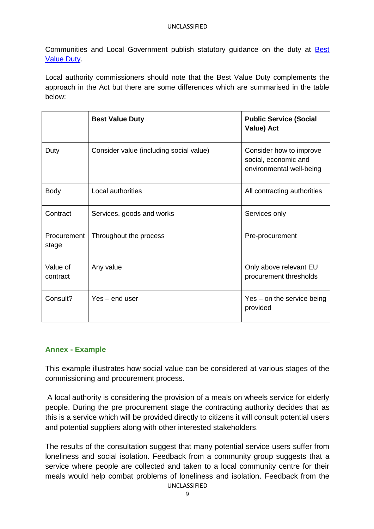Communities and Local Government publish statutory guidance on the duty at [Best](https://www.gov.uk/government/uploads/system/uploads/attachment_data/file/5945/1976926.pdf)  [Value Duty.](https://www.gov.uk/government/uploads/system/uploads/attachment_data/file/5945/1976926.pdf)

Local authority commissioners should note that the Best Value Duty complements the approach in the Act but there are some differences which are summarised in the table below:

|                      | <b>Best Value Duty</b>                  | <b>Public Service (Social</b><br>Value) Act                                 |
|----------------------|-----------------------------------------|-----------------------------------------------------------------------------|
| Duty                 | Consider value (including social value) | Consider how to improve<br>social, economic and<br>environmental well-being |
| <b>Body</b>          | Local authorities                       | All contracting authorities                                                 |
| Contract             | Services, goods and works               | Services only                                                               |
| Procurement<br>stage | Throughout the process                  | Pre-procurement                                                             |
| Value of<br>contract | Any value                               | Only above relevant EU<br>procurement thresholds                            |
| Consult?             | Yes – end user                          | Yes – on the service being<br>provided                                      |

#### **Annex - Example**

This example illustrates how social value can be considered at various stages of the commissioning and procurement process.

A local authority is considering the provision of a meals on wheels service for elderly people. During the pre procurement stage the contracting authority decides that as this is a service which will be provided directly to citizens it will consult potential users and potential suppliers along with other interested stakeholders.

UNCLASSIFIED The results of the consultation suggest that many potential service users suffer from loneliness and social isolation. Feedback from a community group suggests that a service where people are collected and taken to a local community centre for their meals would help combat problems of loneliness and isolation. Feedback from the